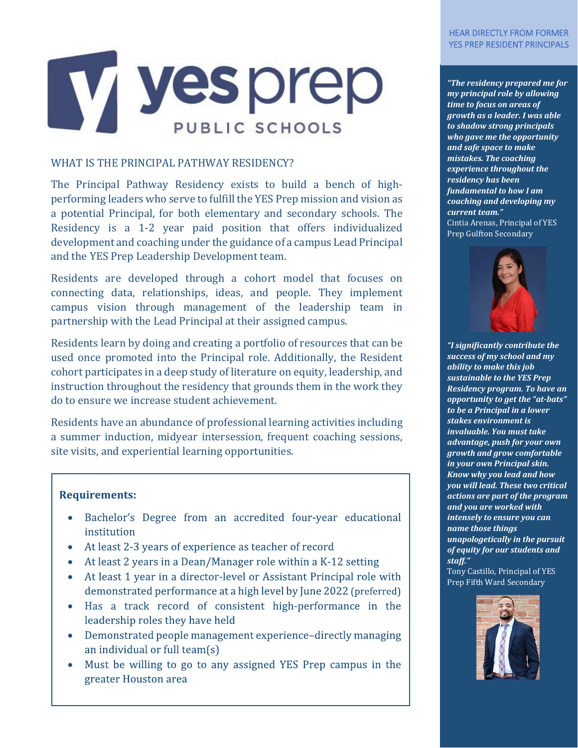### HEAR DIRECTLY FROM FORMER YES PREP RESIDENT PRINCIPALS



# WHAT IS THE PRINCIPAL PATHWAY RESIDENCY?

The Principal Pathway Residency exists to build a bench of highperforming leaders who serve to fulfill the YES Prep mission and vision as a potential Principal, for both elementary and secondary schools. The Residency is a 1-2 year paid position that offers individualized development and coaching under the guidance of a campus Lead Principal and the YES Prep Leadership Development team.

Residents are developed through a cohort model that focuses on connecting data, relationships, ideas, and people. They implement campus vision through management of the leadership team in partnership with the Lead Principal at their assigned campus.

Residents learn by doing and creating a portfolio of resources that can be used once promoted into the Principal role. Additionally, the Resident cohort participates in a deep study of literature on equity, leadership, and instruction throughout the residency that grounds them in the work they do to ensure we increase student achievement.

Residents have an abundance of professional learning activities including a summer induction, midyear intersession, frequent coaching sessions, site visits, and experiential learning opportunities.

## **Requirements:**

j

- Bachelor's Degree from an accredited four-year educational  $\bullet$ institution
- At least 2-3 years of experience as teacher of record
- At least 2 years in a Dean/Manager role within a K-12 setting
- At least 1 year in a director-level or Assistant Principal role with demonstrated performance at a high level by June 2022 (preferred)
- Has a track record of consistent high-performance in the leadership roles they have held
- Demonstrated people management experience-directly managing an individual or full team(s)
- Must be willing to go to any assigned YES Prep campus in the greater Houston area

*"The residency prepared me for my principal role by allowing time to focus on areas of growth as a leader. I was able to shadow strong principals who gave me the opportunity and safe space to make mistakes. The coaching experience throughout the residency has been fundamental to how I am coaching and developing my current team."* Cintia Arenas, Principal of YES Prep Gulfton Secondary



*"I significantly contribute the success of my school and my ability to make this job sustainable to the YES Prep Residency program. To have an opportunity to get the "at-bats" to be a Principal in a lower stakes environment is invaluable. You must take advantage, push for your own growth and grow comfortable in your own Principal skin. Know why you lead and how you will lead. These two critical actions are part of the program and you are worked with intensely to ensure you can name those things unapologetically in the pursuit of equity for our students and staff."*

Tony Castillo, Principal of YES Prep Fifth Ward Secondary